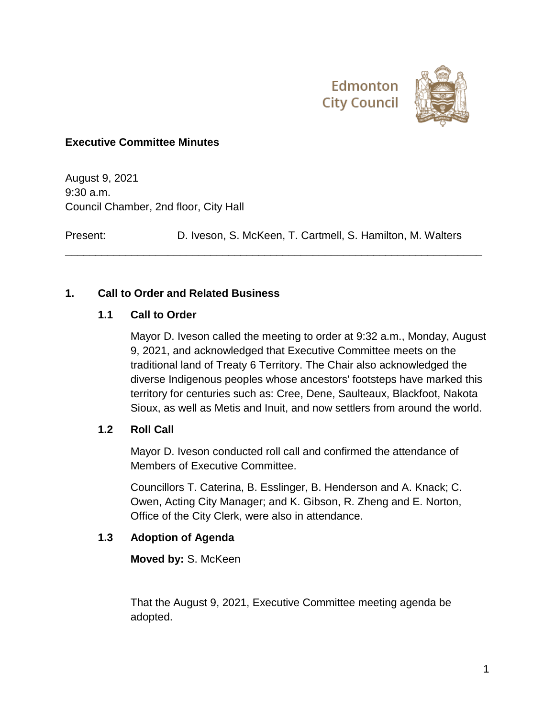

# **Executive Committee Minutes**

August 9, 2021 9:30 a.m. Council Chamber, 2nd floor, City Hall

Present: D. Iveson, S. McKeen, T. Cartmell, S. Hamilton, M. Walters

\_\_\_\_\_\_\_\_\_\_\_\_\_\_\_\_\_\_\_\_\_\_\_\_\_\_\_\_\_\_\_\_\_\_\_\_\_\_\_\_\_\_\_\_\_\_\_\_\_\_\_\_\_\_\_\_\_\_\_\_\_\_\_\_\_\_\_\_\_

# **1. Call to Order and Related Business**

### **1.1 Call to Order**

Mayor D. Iveson called the meeting to order at 9:32 a.m., Monday, August 9, 2021, and acknowledged that Executive Committee meets on the traditional land of Treaty 6 Territory. The Chair also acknowledged the diverse Indigenous peoples whose ancestors' footsteps have marked this territory for centuries such as: Cree, Dene, Saulteaux, Blackfoot, Nakota Sioux, as well as Metis and Inuit, and now settlers from around the world.

# **1.2 Roll Call**

Mayor D. Iveson conducted roll call and confirmed the attendance of Members of Executive Committee.

Councillors T. Caterina, B. Esslinger, B. Henderson and A. Knack; C. Owen, Acting City Manager; and K. Gibson, R. Zheng and E. Norton, Office of the City Clerk, were also in attendance.

#### **1.3 Adoption of Agenda**

**Moved by:** S. McKeen

That the August 9, 2021, Executive Committee meeting agenda be adopted.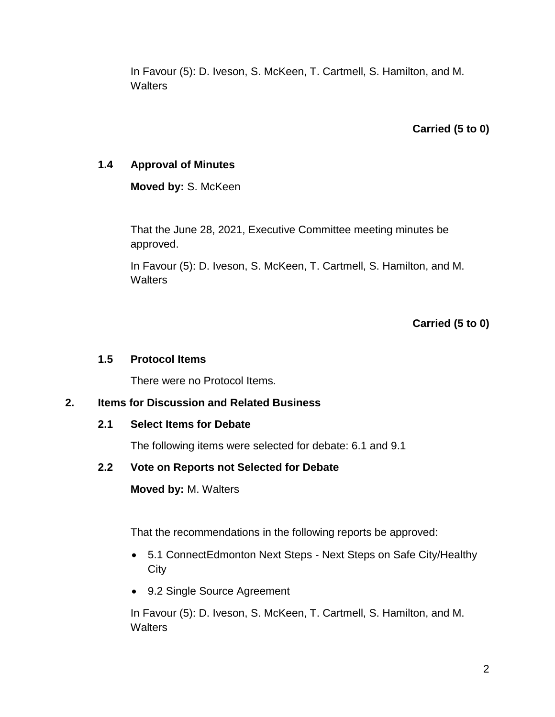In Favour (5): D. Iveson, S. McKeen, T. Cartmell, S. Hamilton, and M. **Walters** 

# **Carried (5 to 0)**

## **1.4 Approval of Minutes**

**Moved by:** S. McKeen

That the June 28, 2021, Executive Committee meeting minutes be approved.

In Favour (5): D. Iveson, S. McKeen, T. Cartmell, S. Hamilton, and M. **Walters** 

**Carried (5 to 0)**

#### **1.5 Protocol Items**

There were no Protocol Items.

# **2. Items for Discussion and Related Business**

#### **2.1 Select Items for Debate**

The following items were selected for debate: 6.1 and 9.1

# **2.2 Vote on Reports not Selected for Debate**

**Moved by:** M. Walters

That the recommendations in the following reports be approved:

- 5.1 ConnectEdmonton Next Steps Next Steps on Safe City/Healthy **City**
- 9.2 Single Source Agreement

In Favour (5): D. Iveson, S. McKeen, T. Cartmell, S. Hamilton, and M. **Walters**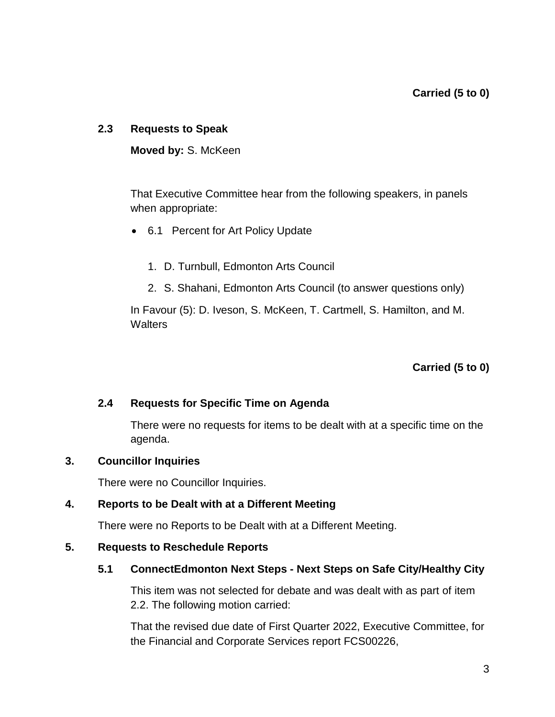#### **2.3 Requests to Speak**

**Moved by:** S. McKeen

That Executive Committee hear from the following speakers, in panels when appropriate:

- 6.1 Percent for Art Policy Update
	- 1. D. Turnbull, Edmonton Arts Council
	- 2. S. Shahani, Edmonton Arts Council (to answer questions only)

In Favour (5): D. Iveson, S. McKeen, T. Cartmell, S. Hamilton, and M. **Walters** 

**Carried (5 to 0)**

#### **2.4 Requests for Specific Time on Agenda**

There were no requests for items to be dealt with at a specific time on the agenda.

#### **3. Councillor Inquiries**

There were no Councillor Inquiries.

#### **4. Reports to be Dealt with at a Different Meeting**

There were no Reports to be Dealt with at a Different Meeting.

#### **5. Requests to Reschedule Reports**

#### **5.1 ConnectEdmonton Next Steps - Next Steps on Safe City/Healthy City**

This item was not selected for debate and was dealt with as part of item 2.2. The following motion carried:

That the revised due date of First Quarter 2022, Executive Committee, for the Financial and Corporate Services report FCS00226,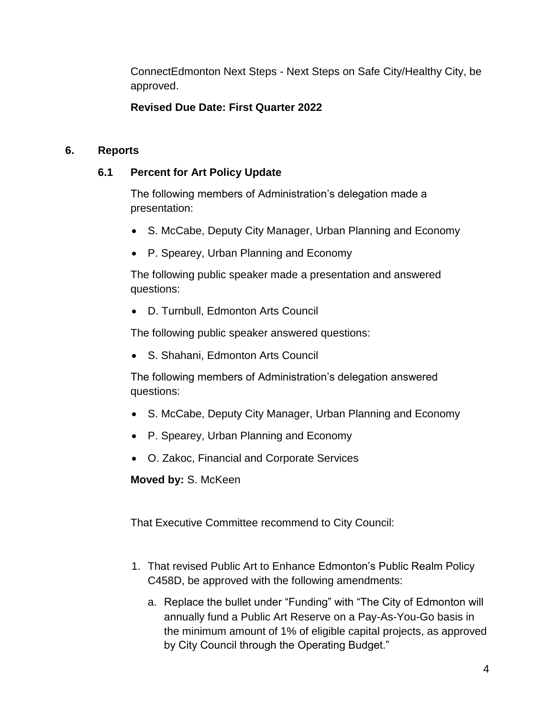ConnectEdmonton Next Steps - Next Steps on Safe City/Healthy City, be approved.

# **Revised Due Date: First Quarter 2022**

# **6. Reports**

# **6.1 Percent for Art Policy Update**

The following members of Administration's delegation made a presentation:

- S. McCabe, Deputy City Manager, Urban Planning and Economy
- P. Spearey, Urban Planning and Economy

The following public speaker made a presentation and answered questions:

D. Turnbull, Edmonton Arts Council

The following public speaker answered questions:

S. Shahani, Edmonton Arts Council

The following members of Administration's delegation answered questions:

- S. McCabe, Deputy City Manager, Urban Planning and Economy
- P. Spearey, Urban Planning and Economy
- O. Zakoc, Financial and Corporate Services

**Moved by:** S. McKeen

That Executive Committee recommend to City Council:

- 1. That revised Public Art to Enhance Edmonton's Public Realm Policy C458D, be approved with the following amendments:
	- a. Replace the bullet under "Funding" with "The City of Edmonton will annually fund a Public Art Reserve on a Pay-As-You-Go basis in the minimum amount of 1% of eligible capital projects, as approved by City Council through the Operating Budget."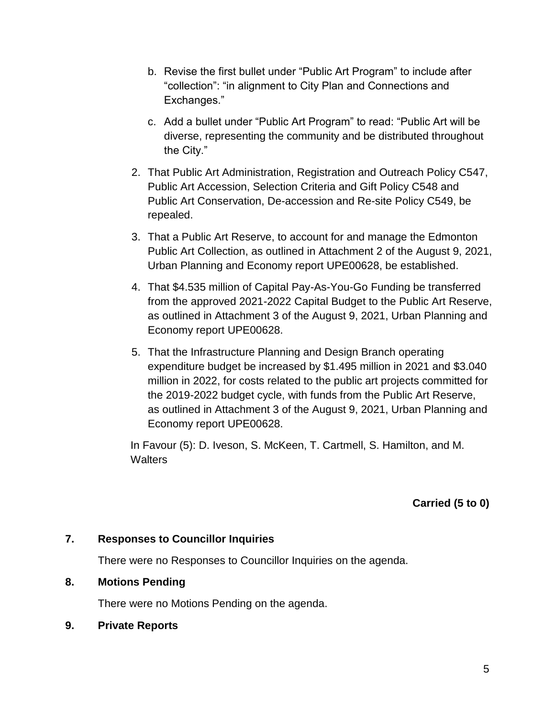- b. Revise the first bullet under "Public Art Program" to include after "collection": "in alignment to City Plan and Connections and Exchanges."
- c. Add a bullet under "Public Art Program" to read: "Public Art will be diverse, representing the community and be distributed throughout the City."
- 2. That Public Art Administration, Registration and Outreach Policy C547, Public Art Accession, Selection Criteria and Gift Policy C548 and Public Art Conservation, De-accession and Re-site Policy C549, be repealed.
- 3. That a Public Art Reserve, to account for and manage the Edmonton Public Art Collection, as outlined in Attachment 2 of the August 9, 2021, Urban Planning and Economy report UPE00628, be established.
- 4. That \$4.535 million of Capital Pay-As-You-Go Funding be transferred from the approved 2021-2022 Capital Budget to the Public Art Reserve, as outlined in Attachment 3 of the August 9, 2021, Urban Planning and Economy report UPE00628.
- 5. That the Infrastructure Planning and Design Branch operating expenditure budget be increased by \$1.495 million in 2021 and \$3.040 million in 2022, for costs related to the public art projects committed for the 2019-2022 budget cycle, with funds from the Public Art Reserve, as outlined in Attachment 3 of the August 9, 2021, Urban Planning and Economy report UPE00628.

In Favour (5): D. Iveson, S. McKeen, T. Cartmell, S. Hamilton, and M. **Walters** 

**Carried (5 to 0)**

#### **7. Responses to Councillor Inquiries**

There were no Responses to Councillor Inquiries on the agenda.

#### **8. Motions Pending**

There were no Motions Pending on the agenda.

**9. Private Reports**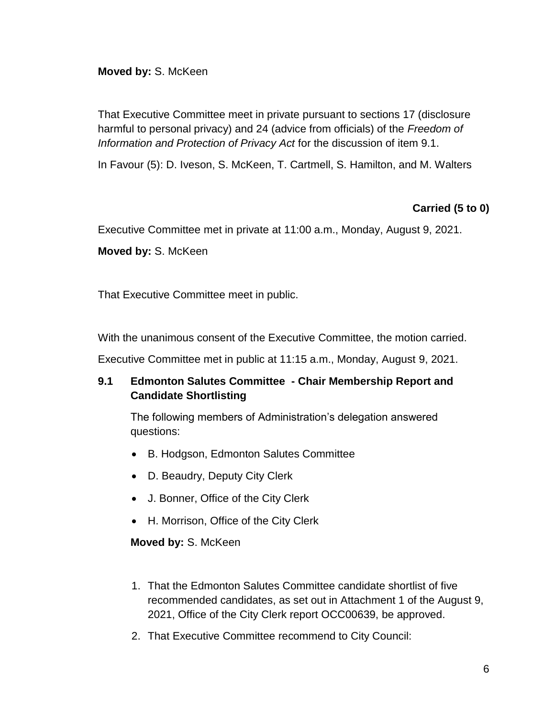### **Moved by:** S. McKeen

That Executive Committee meet in private pursuant to sections 17 (disclosure harmful to personal privacy) and 24 (advice from officials) of the *Freedom of Information and Protection of Privacy Act* for the discussion of item 9.1.

In Favour (5): D. Iveson, S. McKeen, T. Cartmell, S. Hamilton, and M. Walters

# **Carried (5 to 0)**

Executive Committee met in private at 11:00 a.m., Monday, August 9, 2021.

**Moved by:** S. McKeen

That Executive Committee meet in public.

With the unanimous consent of the Executive Committee, the motion carried.

Executive Committee met in public at 11:15 a.m., Monday, August 9, 2021.

# **9.1 Edmonton Salutes Committee - Chair Membership Report and Candidate Shortlisting**

The following members of Administration's delegation answered questions:

- B. Hodgson, Edmonton Salutes Committee
- D. Beaudry, Deputy City Clerk
- J. Bonner, Office of the City Clerk
- H. Morrison, Office of the City Clerk

**Moved by:** S. McKeen

- 1. That the Edmonton Salutes Committee candidate shortlist of five recommended candidates, as set out in Attachment 1 of the August 9, 2021, Office of the City Clerk report OCC00639, be approved.
- 2. That Executive Committee recommend to City Council: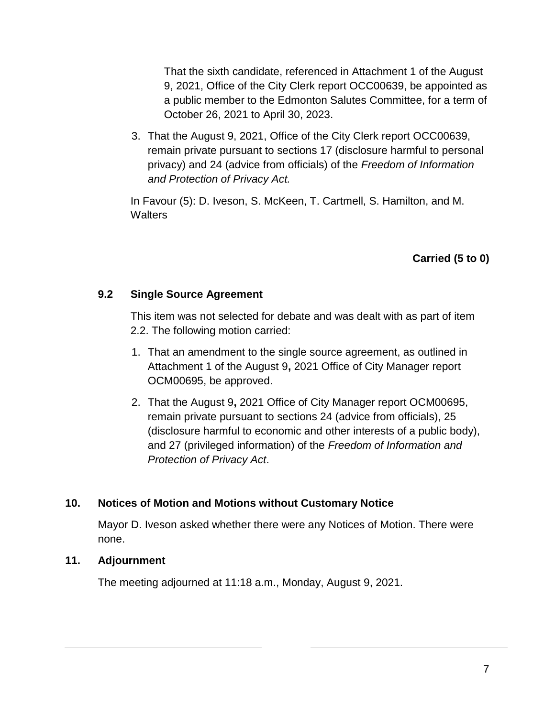That the sixth candidate, referenced in Attachment 1 of the August 9, 2021, Office of the City Clerk report OCC00639, be appointed as a public member to the Edmonton Salutes Committee, for a term of October 26, 2021 to April 30, 2023.

3. That the August 9, 2021, Office of the City Clerk report OCC00639, remain private pursuant to sections 17 (disclosure harmful to personal privacy) and 24 (advice from officials) of the *Freedom of Information and Protection of Privacy Act.*

In Favour (5): D. Iveson, S. McKeen, T. Cartmell, S. Hamilton, and M. **Walters** 

# **Carried (5 to 0)**

# **9.2 Single Source Agreement**

This item was not selected for debate and was dealt with as part of item 2.2. The following motion carried:

- 1. That an amendment to the single source agreement, as outlined in Attachment 1 of the August 9**,** 2021 Office of City Manager report OCM00695, be approved.
- 2. That the August 9**,** 2021 Office of City Manager report OCM00695, remain private pursuant to sections 24 (advice from officials), 25 (disclosure harmful to economic and other interests of a public body), and 27 (privileged information) of the *Freedom of Information and Protection of Privacy Act*.

# **10. Notices of Motion and Motions without Customary Notice**

Mayor D. Iveson asked whether there were any Notices of Motion. There were none.

#### **11. Adjournment**

The meeting adjourned at 11:18 a.m., Monday, August 9, 2021.